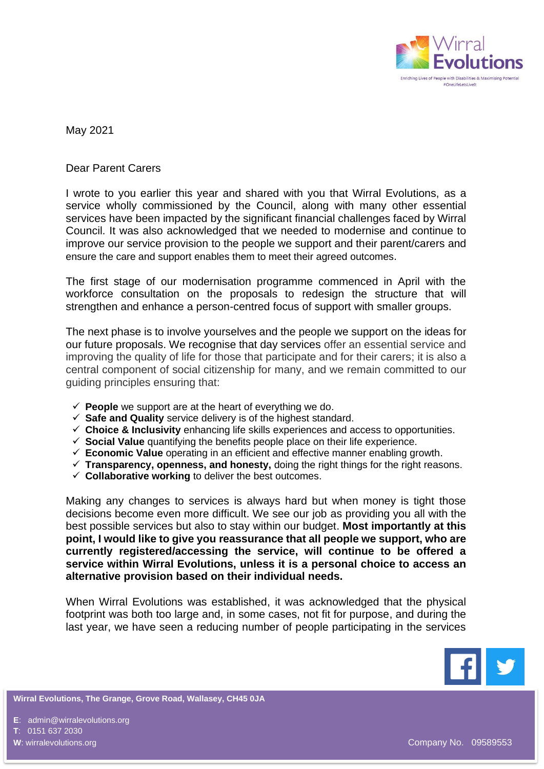

May 2021

## Dear Parent Carers

I wrote to you earlier this year and shared with you that Wirral Evolutions, as a service wholly commissioned by the Council, along with many other essential services have been impacted by the significant financial challenges faced by Wirral Council. It was also acknowledged that we needed to modernise and continue to improve our service provision to the people we support and their parent/carers and ensure the care and support enables them to meet their agreed outcomes.

The first stage of our modernisation programme commenced in April with the workforce consultation on the proposals to redesign the structure that will strengthen and enhance a person-centred focus of support with smaller groups.

The next phase is to involve yourselves and the people we support on the ideas for our future proposals. We recognise that day services offer an essential service and improving the quality of life for those that participate and for their carers; it is also a central component of social citizenship for many, and we remain committed to our guiding principles ensuring that:

- ✓ **People** we support are at the heart of everything we do.
- ✓ **Safe and Quality** service delivery is of the highest standard.
- ✓ **Choice & Inclusivity** enhancing life skills experiences and access to opportunities.
- ✓ **Social Value** quantifying the benefits people place on their life experience.
- ✓ **Economic Value** operating in an efficient and effective manner enabling growth.
- ✓ **Transparency, openness, and honesty,** doing the right things for the right reasons.
- ✓ **Collaborative working** to deliver the best outcomes.

Making any changes to services is always hard but when money is tight those decisions become even more difficult. We see our job as providing you all with the best possible services but also to stay within our budget. **Most importantly at this point, I would like to give you reassurance that all people we support, who are currently registered/accessing the service, will continue to be offered a service within Wirral Evolutions, unless it is a personal choice to access an alternative provision based on their individual needs.**

When Wirral Evolutions was established, it was acknowledged that the physical footprint was both too large and, in some cases, not fit for purpose, and during the last year, we have seen a reducing number of people participating in the services



**Wirral Evolutions, The Grange, Grove Road, Wallasey, CH45 0JA**

**E**: admin@wirralevolutions.org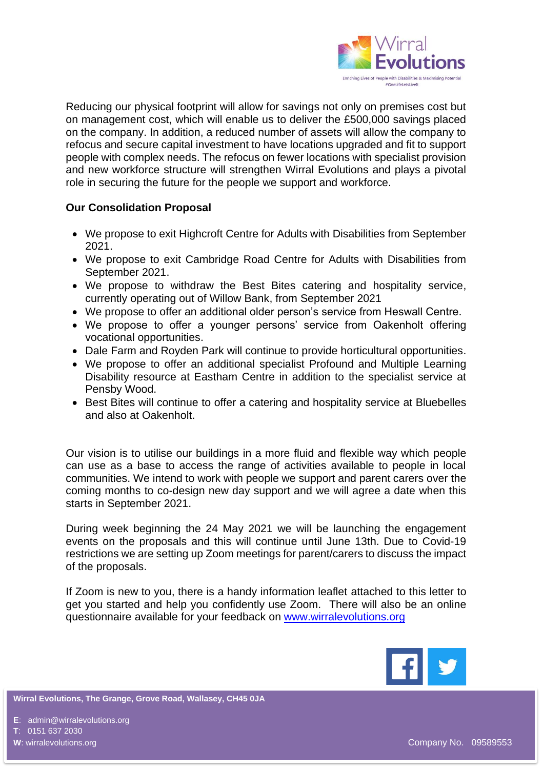

Reducing our physical footprint will allow for savings not only on premises cost but on management cost, which will enable us to deliver the £500,000 savings placed on the company. In addition, a reduced number of assets will allow the company to refocus and secure capital investment to have locations upgraded and fit to support people with complex needs. The refocus on fewer locations with specialist provision and new workforce structure will strengthen Wirral Evolutions and plays a pivotal role in securing the future for the people we support and workforce.

## **Our Consolidation Proposal**

- We propose to exit Highcroft Centre for Adults with Disabilities from September 2021.
- We propose to exit Cambridge Road Centre for Adults with Disabilities from September 2021.
- We propose to withdraw the Best Bites catering and hospitality service, currently operating out of Willow Bank, from September 2021
- We propose to offer an additional older person's service from Heswall Centre.
- We propose to offer a younger persons' service from Oakenholt offering vocational opportunities.
- Dale Farm and Royden Park will continue to provide horticultural opportunities.
- We propose to offer an additional specialist Profound and Multiple Learning Disability resource at Eastham Centre in addition to the specialist service at Pensby Wood.
- Best Bites will continue to offer a catering and hospitality service at Bluebelles and also at Oakenholt.

Our vision is to utilise our buildings in a more fluid and flexible way which people can use as a base to access the range of activities available to people in local communities. We intend to work with people we support and parent carers over the coming months to co-design new day support and we will agree a date when this starts in September 2021.

During week beginning the 24 May 2021 we will be launching the engagement events on the proposals and this will continue until June 13th. Due to Covid-19 restrictions we are setting up Zoom meetings for parent/carers to discuss the impact of the proposals.

If Zoom is new to you, there is a handy information leaflet attached to this letter to get you started and help you confidently use Zoom. There will also be an online questionnaire available for your feedback on [www.wirralevolutions.org](http://www.wirralevolutions.org/)



**Wirral Evolutions, The Grange, Grove Road, Wallasey, CH45 0JA**

**E**: admin@wirralevolutions.org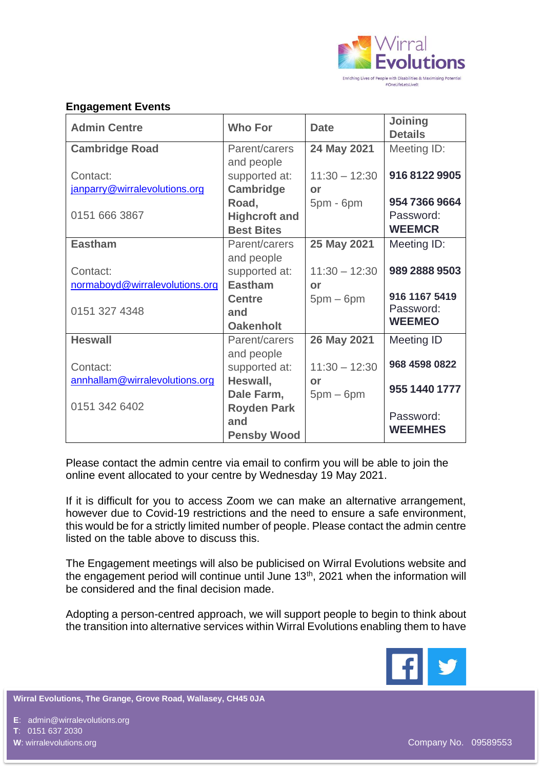

## **Engagement Events**

| <b>Admin Centre</b>            | <b>Who For</b>              | <b>Date</b>     | Joining<br><b>Details</b> |
|--------------------------------|-----------------------------|-----------------|---------------------------|
| <b>Cambridge Road</b>          | Parent/carers               | 24 May 2021     | Meeting ID:               |
| Contact:                       | and people<br>supported at: | $11:30 - 12:30$ | 916 8122 9905             |
| janparry@wirralevolutions.org  | Cambridge                   | or              |                           |
|                                | Road,                       | $5pm - 6pm$     | 954 7366 9664             |
| 0151 666 3867                  | <b>Highcroft and</b>        |                 | Password:                 |
|                                | <b>Best Bites</b>           |                 | <b>WEEMCR</b>             |
| <b>Eastham</b>                 | Parent/carers               | 25 May 2021     | Meeting ID:               |
|                                | and people                  |                 |                           |
| Contact:                       | supported at:               | $11:30 - 12:30$ | 989 2888 9503             |
| normaboyd@wirralevolutions.org | <b>Eastham</b>              | or              |                           |
|                                | <b>Centre</b>               | $5pm-6pm$       | 916 1167 5419             |
| 0151 327 4348                  | and                         |                 | Password:                 |
|                                | <b>Oakenholt</b>            |                 | <b>WEEMEO</b>             |
| <b>Heswall</b>                 | Parent/carers               | 26 May 2021     | Meeting ID                |
|                                | and people                  |                 |                           |
| Contact:                       | supported at:               | $11:30 - 12:30$ | 968 4598 0822             |
| annhallam@wirralevolutions.org | Heswall,                    | or              |                           |
|                                | Dale Farm,                  | $5pm-6pm$       | 955 1440 1777             |
| 0151 342 6402                  | <b>Royden Park</b>          |                 |                           |
|                                | and                         |                 | Password:                 |
|                                | <b>Pensby Wood</b>          |                 | <b>WEEMHES</b>            |

Please contact the admin centre via email to confirm you will be able to join the online event allocated to your centre by Wednesday 19 May 2021.

If it is difficult for you to access Zoom we can make an alternative arrangement, however due to Covid-19 restrictions and the need to ensure a safe environment, this would be for a strictly limited number of people. Please contact the admin centre listed on the table above to discuss this.

The Engagement meetings will also be publicised on Wirral Evolutions website and the engagement period will continue until June 13<sup>th</sup>, 2021 when the information will be considered and the final decision made.

Adopting a person-centred approach, we will support people to begin to think about the transition into alternative services within Wirral Evolutions enabling them to have



**Wirral Evolutions, The Grange, Grove Road, Wallasey, CH45 0JA**

**E**: admin@wirralevolutions.org